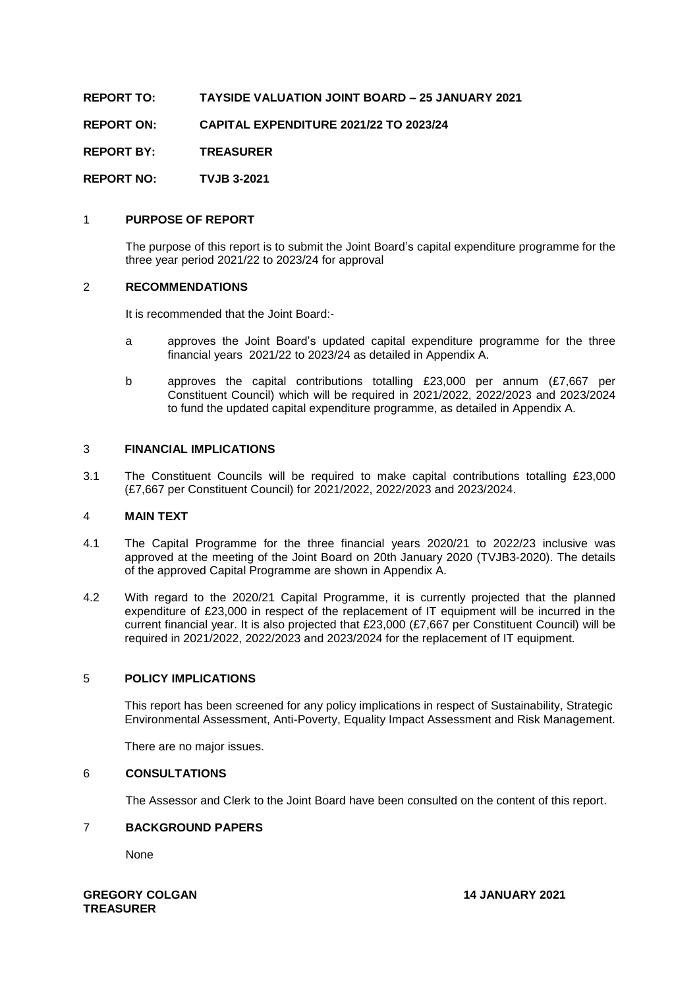**REPORT TO: TAYSIDE VALUATION JOINT BOARD – 25 JANUARY 2021**

**REPORT ON: CAPITAL EXPENDITURE 2021/22 TO 2023/24**

**REPORT BY: TREASURER**

**REPORT NO: TVJB 3-2021**

## 1 **PURPOSE OF REPORT**

The purpose of this report is to submit the Joint Board's capital expenditure programme for the three year period 2021/22 to 2023/24 for approval

#### 2 **RECOMMENDATIONS**

It is recommended that the Joint Board:-

- a approves the Joint Board's updated capital expenditure programme for the three financial years 2021/22 to 2023/24 as detailed in Appendix A.
- b approves the capital contributions totalling £23,000 per annum (£7,667 per Constituent Council) which will be required in 2021/2022, 2022/2023 and 2023/2024 to fund the updated capital expenditure programme, as detailed in Appendix A.

#### 3 **FINANCIAL IMPLICATIONS**

3.1 The Constituent Councils will be required to make capital contributions totalling £23,000 (£7,667 per Constituent Council) for 2021/2022, 2022/2023 and 2023/2024.

#### 4 **MAIN TEXT**

- 4.1 The Capital Programme for the three financial years 2020/21 to 2022/23 inclusive was approved at the meeting of the Joint Board on 20th January 2020 (TVJB3-2020). The details of the approved Capital Programme are shown in Appendix A.
- 4.2 With regard to the 2020/21 Capital Programme, it is currently projected that the planned expenditure of £23,000 in respect of the replacement of IT equipment will be incurred in the current financial year. It is also projected that £23,000 (£7,667 per Constituent Council) will be required in 2021/2022, 2022/2023 and 2023/2024 for the replacement of IT equipment.

## 5 **POLICY IMPLICATIONS**

This report has been screened for any policy implications in respect of Sustainability, Strategic Environmental Assessment, Anti-Poverty, Equality Impact Assessment and Risk Management.

There are no major issues.

#### 6 **CONSULTATIONS**

The Assessor and Clerk to the Joint Board have been consulted on the content of this report.

## 7 **BACKGROUND PAPERS**

None